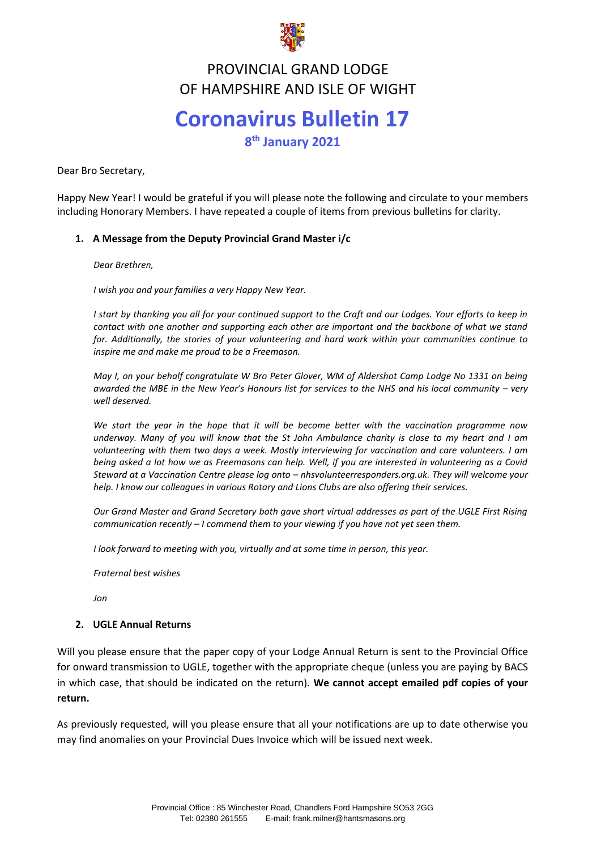

#### **FROVINCIAL GRAND LODGE**<br>TE HAMBSHIBE AND ISLE OF WICH PROVINCIAL GRAND LODGE OF HAMPSHIRE AND ISLE OF WIGHT

# **Coronavirus Bulletin 17**

**8 th January 2021**

Dear Bro Secretary,

Happy New Year! I would be grateful if you will please note the following and circulate to your members including Honorary Members. I have repeated a couple of items from previous bulletins for clarity.

### **1. A Message from the Deputy Provincial Grand Master i/c**

*Dear Brethren,*

*I wish you and your families a very Happy New Year.*

*I start by thanking you all for your continued support to the Craft and our Lodges. Your efforts to keep in contact with one another and supporting each other are important and the backbone of what we stand for. Additionally, the stories of your volunteering and hard work within your communities continue to inspire me and make me proud to be a Freemason.*

*May I, on your behalf congratulate W Bro Peter Glover, WM of Aldershot Camp Lodge No 1331 on being awarded the MBE in the New Year's Honours list for services to the NHS and his local community – very well deserved.*

*We start the year in the hope that it will be become better with the vaccination programme now underway. Many of you will know that the St John Ambulance charity is close to my heart and I am volunteering with them two days a week. Mostly interviewing for vaccination and care volunteers. I am being asked a lot how we as Freemasons can help. Well, if you are interested in volunteering as a Covid Steward at a Vaccination Centre please log onto – nhsvolunteerresponders.org.uk. They will welcome your help. I know our colleagues in various Rotary and Lions Clubs are also offering their services.* 

*Our Grand Master and Grand Secretary both gave short virtual addresses as part of the UGLE First Rising communication recently – I commend them to your viewing if you have not yet seen them.*

*I look forward to meeting with you, virtually and at some time in person, this year.*

*Fraternal best wishes*

*Jon*

### **2. UGLE Annual Returns**

Will you please ensure that the paper copy of your Lodge Annual Return is sent to the Provincial Office for onward transmission to UGLE, together with the appropriate cheque (unless you are paying by BACS in which case, that should be indicated on the return). **We cannot accept emailed pdf copies of your return.**

As previously requested, will you please ensure that all your notifications are up to date otherwise you may find anomalies on your Provincial Dues Invoice which will be issued next week.